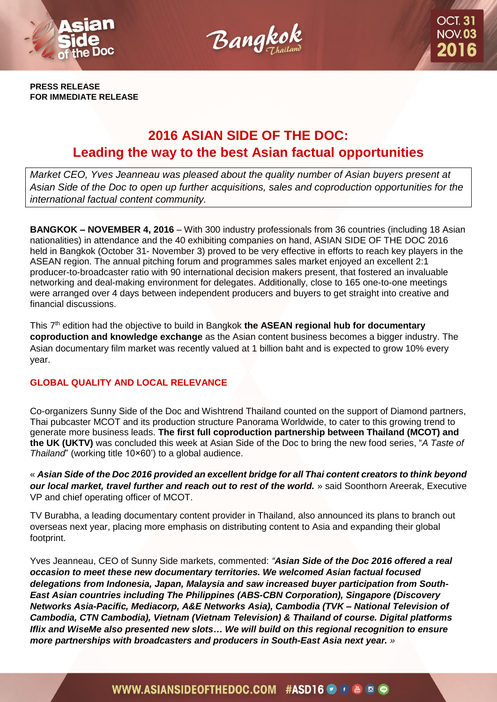



**PRESS RELEASE FOR IMMEDIATE RELEASE**

## **2016 ASIAN SIDE OF THE DOC: Leading the way to the best Asian factual opportunities**

*Market CEO, Yves Jeanneau was pleased about the quality number of Asian buyers present at Asian Side of the Doc to open up further acquisitions, sales and coproduction opportunities for the international factual content community.*

**BANGKOK – NOVEMBER 4, 2016** – With 300 industry professionals from 36 countries (including 18 Asian nationalities) in attendance and the 40 exhibiting companies on hand, ASIAN SIDE OF THE DOC 2016 held in Bangkok (October 31- November 3) proved to be very effective in efforts to reach key players in the ASEAN region. The annual pitching forum and programmes sales market enjoyed an excellent 2:1 producer-to-broadcaster ratio with 90 international decision makers present, that fostered an invaluable networking and deal-making environment for delegates. Additionally, close to 165 one-to-one meetings were arranged over 4 days between independent producers and buyers to get straight into creative and financial discussions.

This 7th edition had the objective to build in Bangkok **the ASEAN regional hub for documentary coproduction and knowledge exchange** as the Asian content business becomes a bigger industry. The Asian documentary film market was recently valued at 1 billion baht and is expected to grow 10% every year.

### **GLOBAL QUALITY AND LOCAL RELEVANCE**

Co-organizers Sunny Side of the Doc and Wishtrend Thailand counted on the support of Diamond partners, Thai pubcaster MCOT and its production structure Panorama Worldwide, to cater to this growing trend to generate more business leads. **The first full coproduction partnership between Thailand (MCOT) and the UK (UKTV)** was concluded this week at Asian Side of the Doc to bring the new food series, "*A Taste of Thailand*" (working title 10×60') to a global audience.

« *Asian Side of the Doc 2016 provided an excellent bridge for all Thai content creators to think beyond our local market, travel further and reach out to rest of the world.* » said Soonthorn Areerak, Executive VP and chief operating officer of MCOT.

TV Burabha, a leading documentary content provider in Thailand, also announced its plans to branch out overseas next year, placing more emphasis on distributing content to Asia and expanding their global footprint.

Yves Jeanneau, CEO of Sunny Side markets, commented: *"Asian Side of the Doc 2016 offered a real occasion to meet these new documentary territories. We welcomed Asian factual focused delegations from Indonesia, Japan, Malaysia and saw increased buyer participation from South-East Asian countries including The Philippines (ABS-CBN Corporation), Singapore (Discovery Networks Asia-Pacific, Mediacorp, A&E Networks Asia), Cambodia (TVK* **–** *National Television of Cambodia, CTN Cambodia), Vietnam (Vietnam Television) & Thailand of course. Digital platforms Iflix and WiseMe also presented new slots… We will build on this regional recognition to ensure more partnerships with broadcasters and producers in South-East Asia next year. »* 

## WWW.ASIANSIDEOFTHEDOC.COM #ASD16 9 + 6 0 0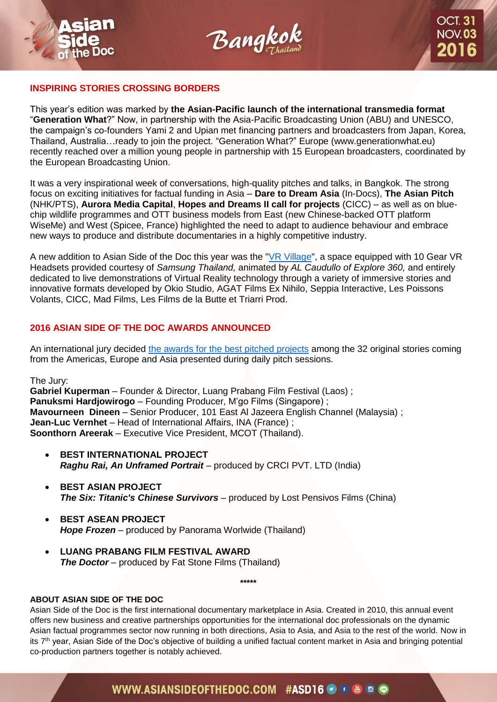



#### **INSPIRING STORIES CROSSING BORDERS**

This year's edition was marked by **the Asian-Pacific launch of the international transmedia format**  "**Generation What**?" Now, in partnership with the Asia-Pacific Broadcasting Union (ABU) and UNESCO, the campaign's co-founders Yami 2 and Upian met financing partners and broadcasters from Japan, Korea, Thailand, Australia…ready to join the project. "Generation What?" Europe (www.generationwhat.eu) recently reached over a million young people in partnership with 15 European broadcasters, coordinated by the European Broadcasting Union.

It was a very inspirational week of conversations, high-quality pitches and talks, in Bangkok. The strong focus on exciting initiatives for factual funding in Asia – **Dare to Dream Asia** (In-Docs), **The Asian Pitch** (NHK/PTS), **Aurora Media Capital**, **Hopes and Dreams II call for projects** (CICC) – as well as on bluechip wildlife programmes and OTT business models from East (new Chinese-backed OTT platform WiseMe) and West (Spicee, France) highlighted the need to adapt to audience behaviour and embrace new ways to produce and distribute documentaries in a highly competitive industry.

A new addition to Asian Side of the Doc this year was the ["VR Village"](http://bit.ly/VR_Village), a space equipped with 10 Gear VR Headsets provided courtesy of *Samsung Thailand,* animated by *AL Caudullo of Explore 360,* and entirely dedicated to live demonstrations of Virtual Reality technology through a variety of immersive stories and innovative formats developed by Okio Studio, AGAT Films Ex Nihilo, Seppia Interactive, Les Poissons Volants, CICC, Mad Films, Les Films de la Butte et Triarri Prod.

### **2016 ASIAN SIDE OF THE DOC AWARDS ANNOUNCED**

An international jury decided the awards [for the best pitched projects](http://bit.ly/Awards_ASD16) among the 32 original stories coming from the Americas, Europe and Asia presented during daily pitch sessions.

The Jury:

**Gabriel Kuperman** – Founder & Director, Luang Prabang Film Festival (Laos) ; **Panuksmi Hardjowirogo** – Founding Producer, M'go Films (Singapore) ; **Mavourneen Dineen** – Senior Producer, 101 East Al Jazeera English Channel (Malaysia) ; **Jean-Luc Vernhet** – Head of International Affairs, INA (France) ; **Soonthorn Areerak** – Executive Vice President, MCOT (Thailand).

- **BEST INTERNATIONAL PROJECT**  *Raghu Rai, An Unframed Portrait* – produced by CRCI PVT. LTD (India)
- **BEST ASIAN PROJECT**  *The Six: Titanic's Chinese Survivors* – produced by Lost Pensivos Films (China)
- **BEST ASEAN PROJECT**  *Hope Frozen* – produced by Panorama Worlwide (Thailand)
- **LUANG PRABANG FILM FESTIVAL AWARD** *The Doctor* – produced by Fat Stone Films (Thailand)

**\*\*\*\*\***

#### **ABOUT ASIAN SIDE OF THE DOC**

Asian Side of the Doc is the first international documentary marketplace in Asia. Created in 2010, this annual event offers new business and creative partnerships opportunities for the international doc professionals on the dynamic Asian factual programmes sector now running in both directions, Asia to Asia, and Asia to the rest of the world. Now in its 7th year, Asian Side of the Doc's objective of building a unified factual content market in Asia and bringing potential co-production partners together is notably achieved.

## WWW.ASIANSIDEOFTHEDOC.COM #ASD16 9 + 6 © 6